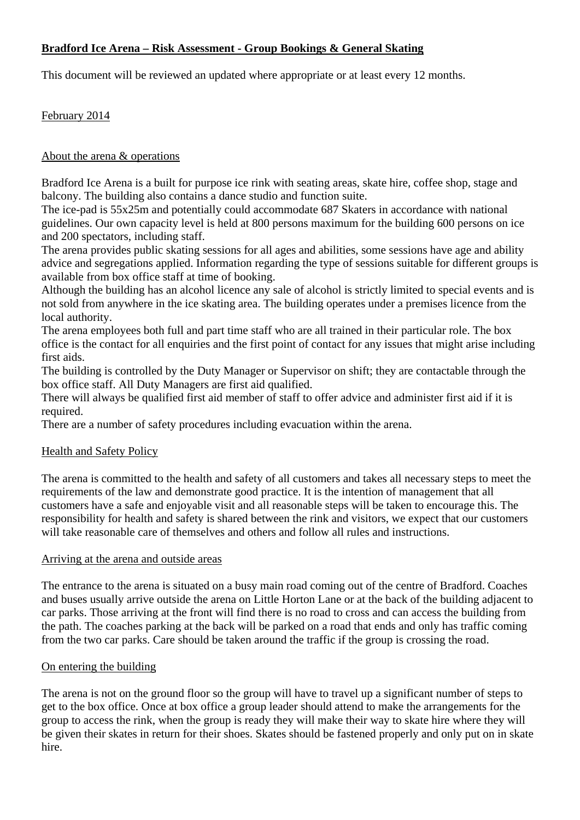# **Bradford Ice Arena – Risk Assessment - Group Bookings & General Skating**

This document will be reviewed an updated where appropriate or at least every 12 months.

## February 2014

## About the arena & operations

Bradford Ice Arena is a built for purpose ice rink with seating areas, skate hire, coffee shop, stage and balcony. The building also contains a dance studio and function suite.

The ice-pad is 55x25m and potentially could accommodate 687 Skaters in accordance with national guidelines. Our own capacity level is held at 800 persons maximum for the building 600 persons on ice and 200 spectators, including staff.

The arena provides public skating sessions for all ages and abilities, some sessions have age and ability advice and segregations applied. Information regarding the type of sessions suitable for different groups is available from box office staff at time of booking.

Although the building has an alcohol licence any sale of alcohol is strictly limited to special events and is not sold from anywhere in the ice skating area. The building operates under a premises licence from the local authority.

The arena employees both full and part time staff who are all trained in their particular role. The box office is the contact for all enquiries and the first point of contact for any issues that might arise including first aids.

The building is controlled by the Duty Manager or Supervisor on shift; they are contactable through the box office staff. All Duty Managers are first aid qualified.

There will always be qualified first aid member of staff to offer advice and administer first aid if it is required.

There are a number of safety procedures including evacuation within the arena.

## Health and Safety Policy

The arena is committed to the health and safety of all customers and takes all necessary steps to meet the requirements of the law and demonstrate good practice. It is the intention of management that all customers have a safe and enjoyable visit and all reasonable steps will be taken to encourage this. The responsibility for health and safety is shared between the rink and visitors, we expect that our customers will take reasonable care of themselves and others and follow all rules and instructions.

## Arriving at the arena and outside areas

The entrance to the arena is situated on a busy main road coming out of the centre of Bradford. Coaches and buses usually arrive outside the arena on Little Horton Lane or at the back of the building adjacent to car parks. Those arriving at the front will find there is no road to cross and can access the building from the path. The coaches parking at the back will be parked on a road that ends and only has traffic coming from the two car parks. Care should be taken around the traffic if the group is crossing the road.

## On entering the building

The arena is not on the ground floor so the group will have to travel up a significant number of steps to get to the box office. Once at box office a group leader should attend to make the arrangements for the group to access the rink, when the group is ready they will make their way to skate hire where they will be given their skates in return for their shoes. Skates should be fastened properly and only put on in skate hire.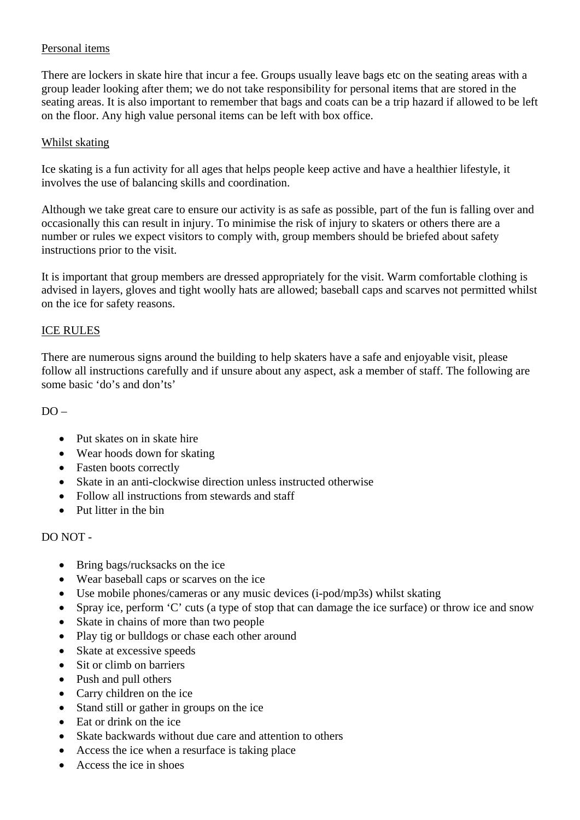# Personal items

There are lockers in skate hire that incur a fee. Groups usually leave bags etc on the seating areas with a group leader looking after them; we do not take responsibility for personal items that are stored in the seating areas. It is also important to remember that bags and coats can be a trip hazard if allowed to be left on the floor. Any high value personal items can be left with box office.

## Whilst skating

Ice skating is a fun activity for all ages that helps people keep active and have a healthier lifestyle, it involves the use of balancing skills and coordination.

Although we take great care to ensure our activity is as safe as possible, part of the fun is falling over and occasionally this can result in injury. To minimise the risk of injury to skaters or others there are a number or rules we expect visitors to comply with, group members should be briefed about safety instructions prior to the visit.

It is important that group members are dressed appropriately for the visit. Warm comfortable clothing is advised in layers, gloves and tight woolly hats are allowed; baseball caps and scarves not permitted whilst on the ice for safety reasons.

#### ICE RULES

There are numerous signs around the building to help skaters have a safe and enjoyable visit, please follow all instructions carefully and if unsure about any aspect, ask a member of staff. The following are some basic 'do's and don'ts'

## $DO =$

- Put skates on in skate hire
- Wear hoods down for skating
- Fasten boots correctly
- Skate in an anti-clockwise direction unless instructed otherwise
- Follow all instructions from stewards and staff
- Put litter in the bin

## DO NOT -

- Bring bags/rucksacks on the ice
- Wear baseball caps or scarves on the ice
- Use mobile phones/cameras or any music devices (i-pod/mp3s) whilst skating
- Spray ice, perform 'C' cuts (a type of stop that can damage the ice surface) or throw ice and snow
- Skate in chains of more than two people
- Play tig or bulldogs or chase each other around
- Skate at excessive speeds
- Sit or climb on barriers
- Push and pull others
- Carry children on the ice
- Stand still or gather in groups on the ice
- Eat or drink on the ice
- Skate backwards without due care and attention to others
- Access the ice when a resurface is taking place
- Access the ice in shoes